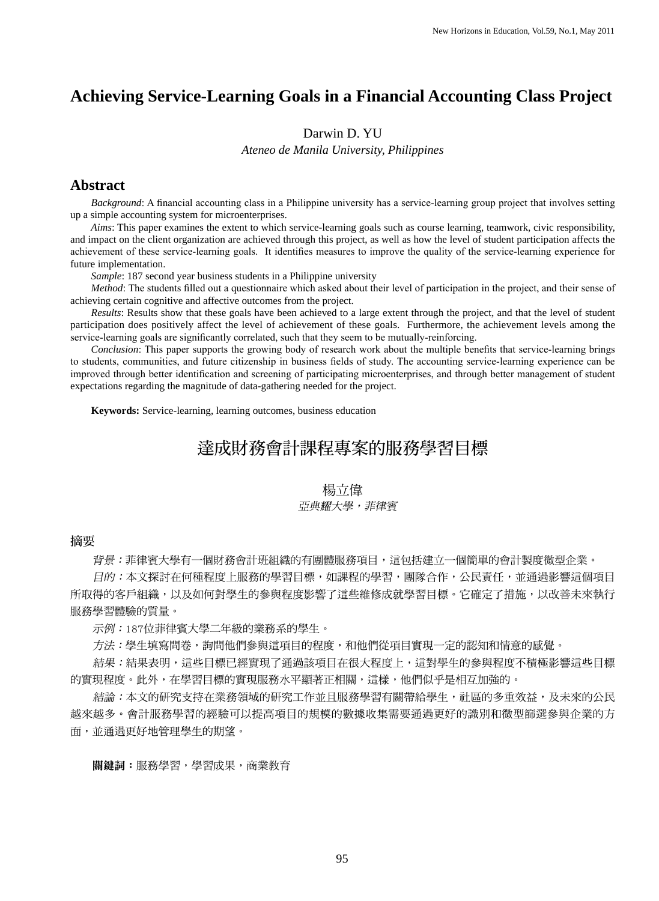# **Achieving Service-Learning Goals in a Financial Accounting Class Project**

### Darwin D. YU

*Ateneo de Manila University, Philippines*

### **Abstract**

 *Background*: A financial accounting class in a Philippine university has a service-learning group project that involves setting up a simple accounting system for microenterprises.

 *Aims*: This paper examines the extent to which service-learning goals such as course learning, teamwork, civic responsibility, and impact on the client organization are achieved through this project, as well as how the level of student participation affects the achievement of these service-learning goals. It identifies measures to improve the quality of the service-learning experience for future implementation.

 *Sample*: 187 second year business students in a Philippine university

*Method*: The students filled out a questionnaire which asked about their level of participation in the project, and their sense of achieving certain cognitive and affective outcomes from the project.

 *Results*: Results show that these goals have been achieved to a large extent through the project, and that the level of student participation does positively affect the level of achievement of these goals. Furthermore, the achievement levels among the service-learning goals are significantly correlated, such that they seem to be mutually-reinforcing.

 *Conclusion*: This paper supports the growing body of research work about the multiple benefits that service-learning brings to students, communities, and future citizenship in business fields of study. The accounting service-learning experience can be improved through better identification and screening of participating microenterprises, and through better management of student expectations regarding the magnitude of data-gathering needed for the project.

**Keywords:** Service-learning, learning outcomes, business education

# 達成財務會計課程專案的服務學習目標

# 楊立偉

#### 亚亞典耀大學,菲律賓

#### 摘要

背景:菲律賓大學有一個財務會計班組織的有團體服務項目,這包括建立一個簡單的會計製度微型企業。

目的:本文探討在何種程度上服務的學習目標,如課程的學習,團隊合作,公民責任,並通過影響這個項目 所取得的客戶組織,以及如何對學生的參與程度影響了這些維修成就學習目標。它確定了措施,以改善未來執行 服務學習體驗的質量。

示例:187位菲律賓大學二年級的業務系的學生。

方法:學生填寫問卷,詢問他們參與這項目的程度,和他們從項目實現一定的認知和情意的感覺。

 結果:結果表明,這些目標已經實現了通過該項目在很大程度上,這對學生的參與程度不積極影響這些目標 的實現程度。此外,在學習目標的實現服務水平顯著正相關,這樣,他們似乎是相互加強的。

結論:本文的研究支持在業務領域的研究工作並且服務學習有關帶給學生,社區的多重效益,及未來的公民 越來越多。會計服務學習的經驗可以提高項目的規模的數據收集需要通過更好的識別和微型篩選參與企業的方 面,並通過更好地管理學生的期望。

關鍵詞:服務學習,學習成果,商業教育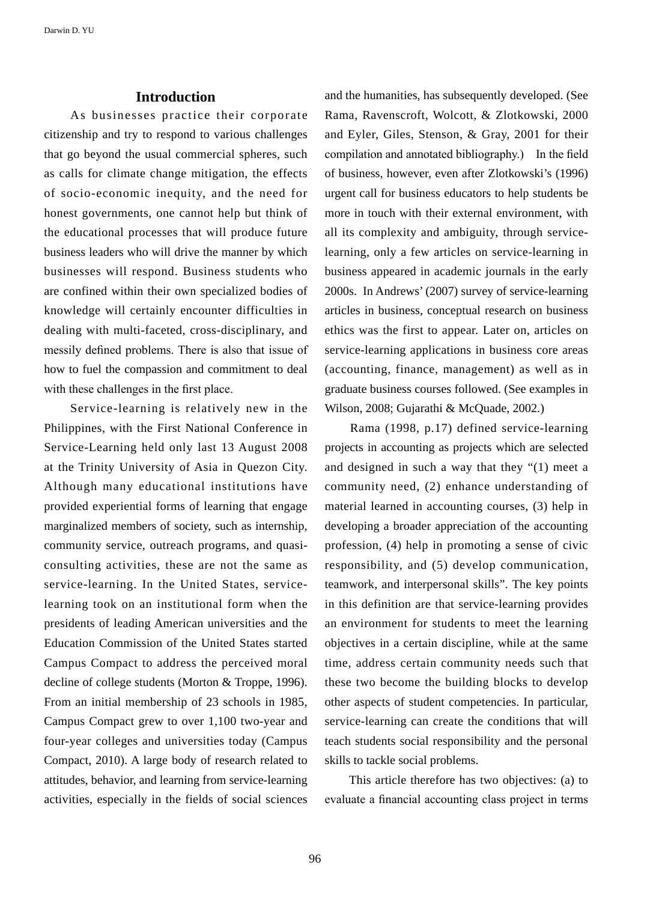## **Introduction**

 As businesses practice their corporate citizenship and try to respond to various challenges that go beyond the usual commercial spheres, such as calls for climate change mitigation, the effects of socio-economic inequity, and the need for honest governments, one cannot help but think of the educational processes that will produce future business leaders who will drive the manner by which businesses will respond. Business students who are confined within their own specialized bodies of knowledge will certainly encounter difficulties in dealing with multi-faceted, cross-disciplinary, and messily defined problems. There is also that issue of how to fuel the compassion and commitment to deal with these challenges in the first place.

 Service-learning is relatively new in the Philippines, with the First National Conference in Service-Learning held only last 13 August 2008 at the Trinity University of Asia in Quezon City. Although many educational institutions have provided experiential forms of learning that engage marginalized members of society, such as internship, community service, outreach programs, and quasiconsulting activities, these are not the same as service-learning. In the United States, servicelearning took on an institutional form when the presidents of leading American universities and the Education Commission of the United States started Campus Compact to address the perceived moral decline of college students (Morton & Troppe, 1996). From an initial membership of 23 schools in 1985, Campus Compact grew to over 1,100 two-year and four-year colleges and universities today (Campus Compact, 2010). A large body of research related to attitudes, behavior, and learning from service-learning activities, especially in the fields of social sciences

and the humanities, has subsequently developed. (See Rama, Ravenscroft, Wolcott, & Zlotkowski, 2000 and Eyler, Giles, Stenson, & Gray, 2001 for their compilation and annotated bibliography.) In the field of business, however, even after Zlotkowski's (1996) urgent call for business educators to help students be more in touch with their external environment, with all its complexity and ambiguity, through servicelearning, only a few articles on service-learning in business appeared in academic journals in the early 2000s. In Andrews' (2007) survey of service-learning articles in business, conceptual research on business ethics was the first to appear. Later on, articles on service-learning applications in business core areas (accounting, finance, management) as well as in graduate business courses followed. (See examples in Wilson, 2008; Gujarathi & McQuade, 2002.)

 Rama (1998, p.17) defined service-learning projects in accounting as projects which are selected and designed in such a way that they "(1) meet a community need, (2) enhance understanding of material learned in accounting courses, (3) help in developing a broader appreciation of the accounting profession, (4) help in promoting a sense of civic responsibility, and (5) develop communication, teamwork, and interpersonal skills". The key points in this definition are that service-learning provides an environment for students to meet the learning objectives in a certain discipline, while at the same time, address certain community needs such that these two become the building blocks to develop other aspects of student competencies. In particular, service-learning can create the conditions that will teach students social responsibility and the personal skills to tackle social problems.

 This article therefore has two objectives: (a) to evaluate a financial accounting class project in terms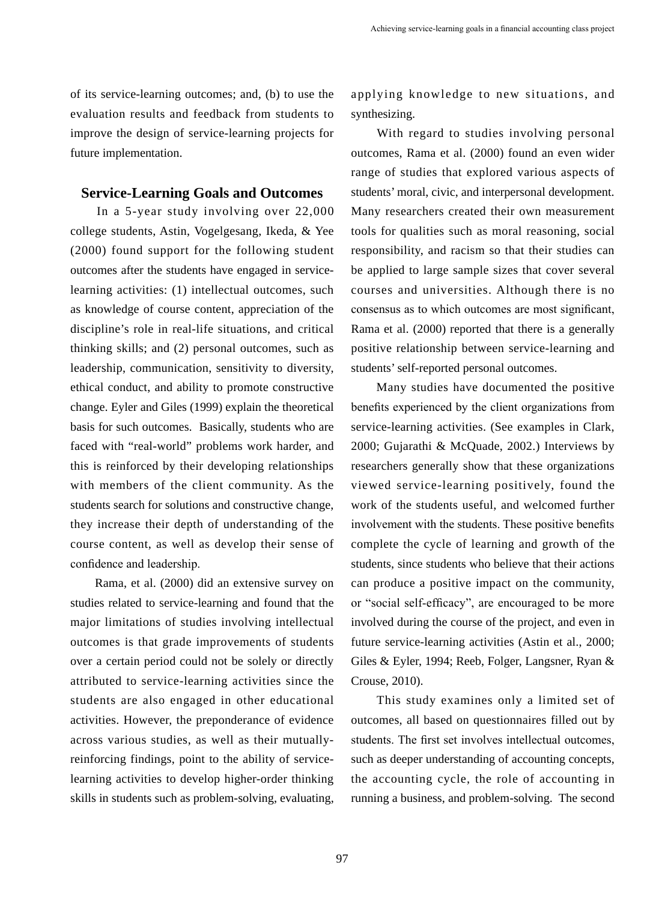of its service-learning outcomes; and, (b) to use the evaluation results and feedback from students to improve the design of service-learning projects for future implementation.

## **Service-Learning Goals and Outcomes**

 In a 5-year study involving over 22,000 college students, Astin, Vogelgesang, Ikeda, & Yee (2000) found support for the following student outcomes after the students have engaged in servicelearning activities: (1) intellectual outcomes, such as knowledge of course content, appreciation of the discipline's role in real-life situations, and critical thinking skills; and (2) personal outcomes, such as leadership, communication, sensitivity to diversity, ethical conduct, and ability to promote constructive change. Eyler and Giles (1999) explain the theoretical basis for such outcomes. Basically, students who are faced with "real-world" problems work harder, and this is reinforced by their developing relationships with members of the client community. As the students search for solutions and constructive change, they increase their depth of understanding of the course content, as well as develop their sense of confidence and leadership.

 Rama, et al. (2000) did an extensive survey on studies related to service-learning and found that the major limitations of studies involving intellectual outcomes is that grade improvements of students over a certain period could not be solely or directly attributed to service-learning activities since the students are also engaged in other educational activities. However, the preponderance of evidence across various studies, as well as their mutuallyreinforcing findings, point to the ability of servicelearning activities to develop higher-order thinking skills in students such as problem-solving, evaluating,

applying knowledge to new situations, and synthesizing.

 With regard to studies involving personal outcomes, Rama et al. (2000) found an even wider range of studies that explored various aspects of students' moral, civic, and interpersonal development. Many researchers created their own measurement tools for qualities such as moral reasoning, social responsibility, and racism so that their studies can be applied to large sample sizes that cover several courses and universities. Although there is no consensus as to which outcomes are most significant, Rama et al. (2000) reported that there is a generally positive relationship between service-learning and students' self-reported personal outcomes.

 Many studies have documented the positive benefits experienced by the client organizations from service-learning activities. (See examples in Clark, 2000; Gujarathi & McQuade, 2002.) Interviews by researchers generally show that these organizations viewed service-learning positively, found the work of the students useful, and welcomed further involvement with the students. These positive benefits complete the cycle of learning and growth of the students, since students who believe that their actions can produce a positive impact on the community, or "social self-efficacy", are encouraged to be more involved during the course of the project, and even in future service-learning activities (Astin et al., 2000; Giles & Eyler, 1994; Reeb, Folger, Langsner, Ryan & Crouse, 2010).

 This study examines only a limited set of outcomes, all based on questionnaires filled out by students. The first set involves intellectual outcomes, such as deeper understanding of accounting concepts, the accounting cycle, the role of accounting in running a business, and problem-solving. The second

97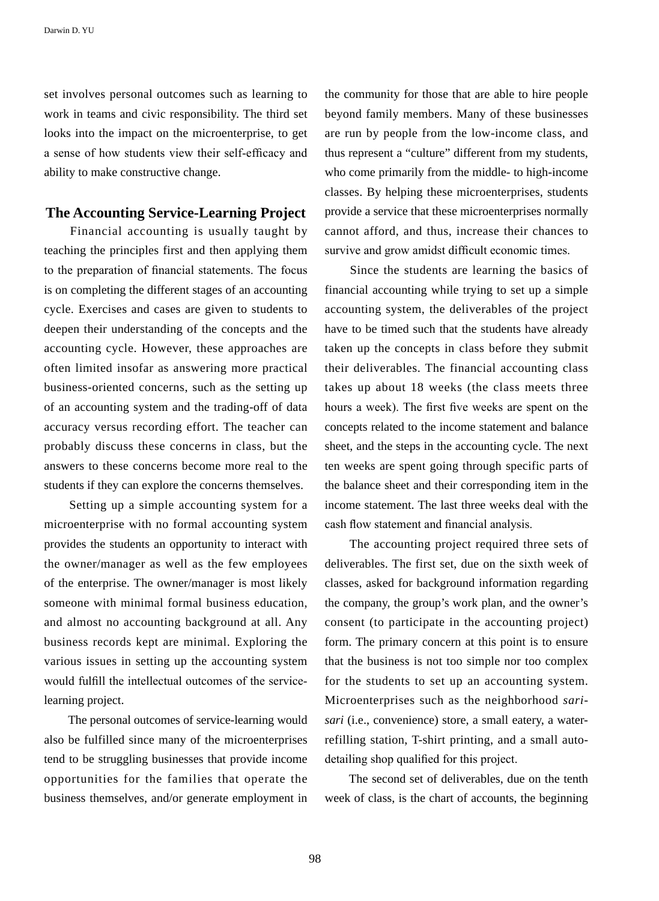set involves personal outcomes such as learning to work in teams and civic responsibility. The third set looks into the impact on the microenterprise, to get a sense of how students view their self-efficacy and ability to make constructive change.

## **The Accounting Service-Learning Project**

 Financial accounting is usually taught by teaching the principles first and then applying them to the preparation of financial statements. The focus is on completing the different stages of an accounting cycle. Exercises and cases are given to students to deepen their understanding of the concepts and the accounting cycle. However, these approaches are often limited insofar as answering more practical business-oriented concerns, such as the setting up of an accounting system and the trading-off of data accuracy versus recording effort. The teacher can probably discuss these concerns in class, but the answers to these concerns become more real to the students if they can explore the concerns themselves.

 Setting up a simple accounting system for a microenterprise with no formal accounting system provides the students an opportunity to interact with the owner/manager as well as the few employees of the enterprise. The owner/manager is most likely someone with minimal formal business education, and almost no accounting background at all. Any business records kept are minimal. Exploring the various issues in setting up the accounting system would fulfill the intellectual outcomes of the servicelearning project.

 The personal outcomes of service-learning would also be fulfilled since many of the microenterprises tend to be struggling businesses that provide income opportunities for the families that operate the business themselves, and/or generate employment in the community for those that are able to hire people beyond family members. Many of these businesses are run by people from the low-income class, and thus represent a "culture" different from my students, who come primarily from the middle- to high-income classes. By helping these microenterprises, students provide a service that these microenterprises normally cannot afford, and thus, increase their chances to survive and grow amidst difficult economic times.

 Since the students are learning the basics of financial accounting while trying to set up a simple accounting system, the deliverables of the project have to be timed such that the students have already taken up the concepts in class before they submit their deliverables. The financial accounting class takes up about 18 weeks (the class meets three hours a week). The first five weeks are spent on the concepts related to the income statement and balance sheet, and the steps in the accounting cycle. The next ten weeks are spent going through specific parts of the balance sheet and their corresponding item in the income statement. The last three weeks deal with the cash flow statement and financial analysis.

 The accounting project required three sets of deliverables. The first set, due on the sixth week of classes, asked for background information regarding the company, the group's work plan, and the owner's consent (to participate in the accounting project) form. The primary concern at this point is to ensure that the business is not too simple nor too complex for the students to set up an accounting system. Microenterprises such as the neighborhood *sarisari* (i.e., convenience) store, a small eatery, a waterrefilling station, T-shirt printing, and a small autodetailing shop qualified for this project.

 The second set of deliverables, due on the tenth week of class, is the chart of accounts, the beginning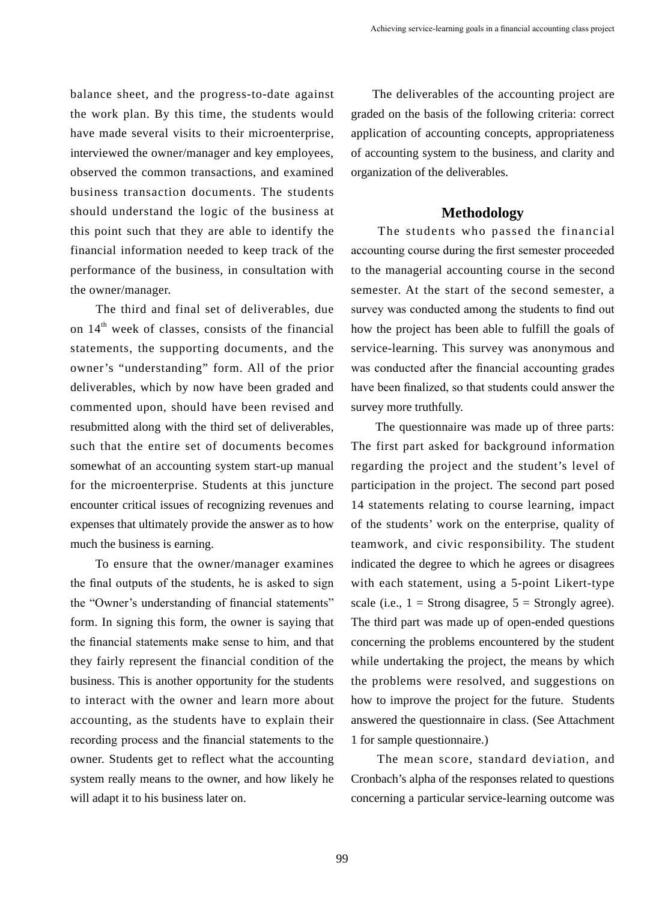balance sheet, and the progress-to-date against the work plan. By this time, the students would have made several visits to their microenterprise, interviewed the owner/manager and key employees, observed the common transactions, and examined business transaction documents. The students should understand the logic of the business at this point such that they are able to identify the financial information needed to keep track of the performance of the business, in consultation with the owner/manager.

 The third and final set of deliverables, due on  $14<sup>th</sup>$  week of classes, consists of the financial statements, the supporting documents, and the owner's "understanding" form. All of the prior deliverables, which by now have been graded and commented upon, should have been revised and resubmitted along with the third set of deliverables, such that the entire set of documents becomes somewhat of an accounting system start-up manual for the microenterprise. Students at this juncture encounter critical issues of recognizing revenues and expenses that ultimately provide the answer as to how much the business is earning.

 To ensure that the owner/manager examines the final outputs of the students, he is asked to sign the "Owner's understanding of financial statements" form. In signing this form, the owner is saying that the financial statements make sense to him, and that they fairly represent the financial condition of the business. This is another opportunity for the students to interact with the owner and learn more about accounting, as the students have to explain their recording process and the financial statements to the owner. Students get to reflect what the accounting system really means to the owner, and how likely he will adapt it to his business later on.

 The deliverables of the accounting project are graded on the basis of the following criteria: correct application of accounting concepts, appropriateness of accounting system to the business, and clarity and organization of the deliverables.

## **Methodology**

 The students who passed the financial accounting course during the first semester proceeded to the managerial accounting course in the second semester. At the start of the second semester, a survey was conducted among the students to find out how the project has been able to fulfill the goals of service-learning. This survey was anonymous and was conducted after the financial accounting grades have been finalized, so that students could answer the survey more truthfully.

 The questionnaire was made up of three parts: The first part asked for background information regarding the project and the student's level of participation in the project. The second part posed 14 statements relating to course learning, impact of the students' work on the enterprise, quality of teamwork, and civic responsibility. The student indicated the degree to which he agrees or disagrees with each statement, using a 5-point Likert-type scale (i.e.,  $1 =$  Strong disagree,  $5 =$  Strongly agree). The third part was made up of open-ended questions concerning the problems encountered by the student while undertaking the project, the means by which the problems were resolved, and suggestions on how to improve the project for the future. Students answered the questionnaire in class. (See Attachment 1 for sample questionnaire.)

 The mean score, standard deviation, and Cronbach's alpha of the responses related to questions concerning a particular service-learning outcome was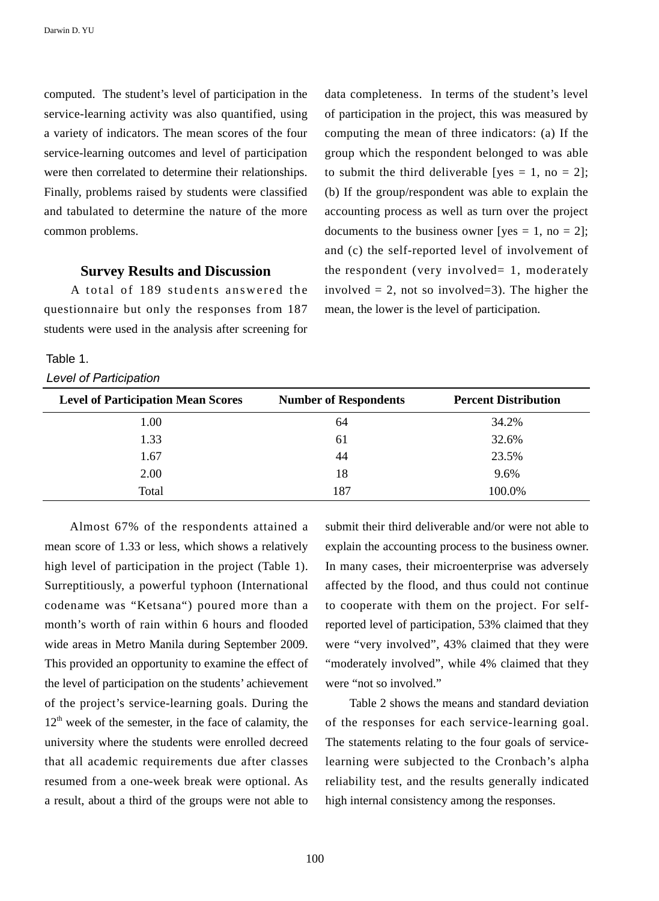computed. The student's level of participation in the service-learning activity was also quantified, using a variety of indicators. The mean scores of the four service-learning outcomes and level of participation were then correlated to determine their relationships. Finally, problems raised by students were classified and tabulated to determine the nature of the more common problems.

## **Survey Results and Discussion**

 A total of 189 students answered the questionnaire but only the responses from 187 students were used in the analysis after screening for

### Table 1.

#### *Level of Participation*

data completeness. In terms of the student's level of participation in the project, this was measured by computing the mean of three indicators: (a) If the group which the respondent belonged to was able to submit the third deliverable [yes = 1, no = 2]; (b) If the group/respondent was able to explain the accounting process as well as turn over the project documents to the business owner [yes  $= 1$ , no  $= 2$ ]; and (c) the self-reported level of involvement of the respondent (very involved= 1, moderately involved  $= 2$ , not so involved $= 3$ ). The higher the mean, the lower is the level of participation.

| <b>Level of Participation Mean Scores</b> | <b>Number of Respondents</b> | <b>Percent Distribution</b> |
|-------------------------------------------|------------------------------|-----------------------------|
| 1.00                                      | 64                           | 34.2%                       |
| 1.33                                      | 61                           | 32.6%                       |
| 1.67                                      | 44                           | 23.5%                       |
| 2.00                                      | 18                           | 9.6%                        |
| Total                                     | 187                          | 100.0%                      |

 Almost 67% of the respondents attained a mean score of 1.33 or less, which shows a relatively high level of participation in the project (Table 1). Surreptitiously, a powerful typhoon (International codename was "Ketsana") poured more than a month's worth of rain within 6 hours and flooded wide areas in Metro Manila during September 2009. This provided an opportunity to examine the effect of the level of participation on the students' achievement of the project's service-learning goals. During the  $12<sup>th</sup>$  week of the semester, in the face of calamity, the university where the students were enrolled decreed that all academic requirements due after classes resumed from a one-week break were optional. As a result, about a third of the groups were not able to submit their third deliverable and/or were not able to explain the accounting process to the business owner. In many cases, their microenterprise was adversely affected by the flood, and thus could not continue to cooperate with them on the project. For selfreported level of participation, 53% claimed that they were "very involved", 43% claimed that they were "moderately involved", while 4% claimed that they were "not so involved."

 Table 2 shows the means and standard deviation of the responses for each service-learning goal. The statements relating to the four goals of servicelearning were subjected to the Cronbach's alpha reliability test, and the results generally indicated high internal consistency among the responses.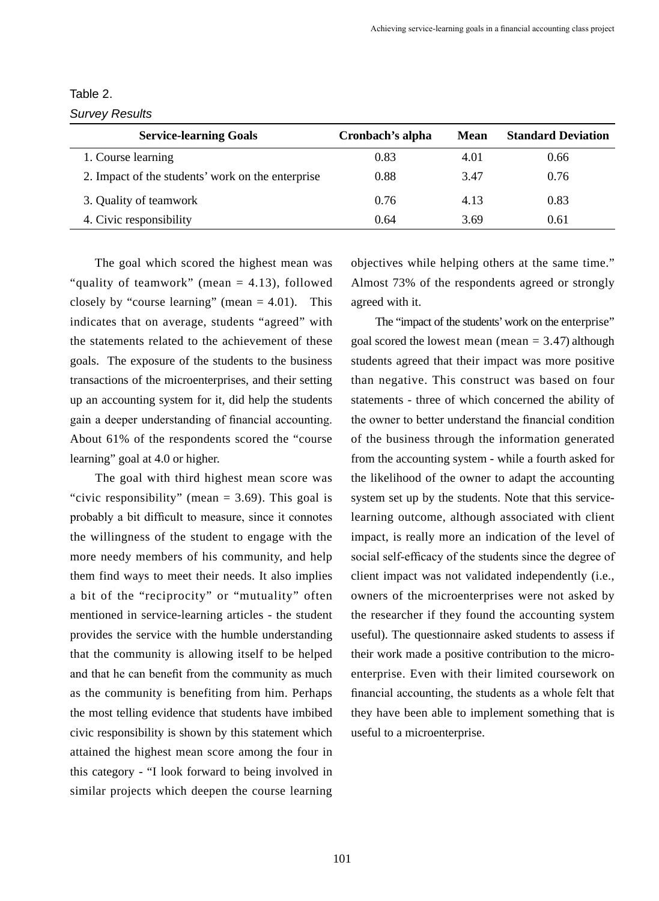| Table 2. |  |
|----------|--|

*Survey Results*

| <b>Service-learning Goals</b>                     | Cronbach's alpha | Mean | <b>Standard Deviation</b> |
|---------------------------------------------------|------------------|------|---------------------------|
| 1. Course learning                                | 0.83             | 4.01 | 0.66                      |
| 2. Impact of the students' work on the enterprise | 0.88             | 3.47 | 0.76                      |
| 3. Quality of teamwork                            | 0.76             | 4.13 | 0.83                      |
| 4. Civic responsibility                           | 0.64             | 3.69 | 0.61                      |

 The goal which scored the highest mean was "quality of teamwork" (mean = 4.13), followed closely by "course learning" (mean  $= 4.01$ ). This indicates that on average, students "agreed" with the statements related to the achievement of these goals. The exposure of the students to the business transactions of the microenterprises, and their setting up an accounting system for it, did help the students gain a deeper understanding of financial accounting. About 61% of the respondents scored the "course learning" goal at 4.0 or higher.

 The goal with third highest mean score was "civic responsibility" (mean  $= 3.69$ ). This goal is probably a bit difficult to measure, since it connotes the willingness of the student to engage with the more needy members of his community, and help them find ways to meet their needs. It also implies a bit of the "reciprocity" or "mutuality" often mentioned in service-learning articles - the student provides the service with the humble understanding that the community is allowing itself to be helped and that he can benefit from the community as much as the community is benefiting from him. Perhaps the most telling evidence that students have imbibed civic responsibility is shown by this statement which attained the highest mean score among the four in this category - "I look forward to being involved in similar projects which deepen the course learning objectives while helping others at the same time." Almost 73% of the respondents agreed or strongly agreed with it.

 The "impact of the students' work on the enterprise" goal scored the lowest mean (mean  $= 3.47$ ) although students agreed that their impact was more positive than negative. This construct was based on four statements - three of which concerned the ability of the owner to better understand the financial condition of the business through the information generated from the accounting system - while a fourth asked for the likelihood of the owner to adapt the accounting system set up by the students. Note that this servicelearning outcome, although associated with client impact, is really more an indication of the level of social self-efficacy of the students since the degree of client impact was not validated independently (i.e., owners of the microenterprises were not asked by the researcher if they found the accounting system useful). The questionnaire asked students to assess if their work made a positive contribution to the microenterprise. Even with their limited coursework on financial accounting, the students as a whole felt that they have been able to implement something that is useful to a microenterprise.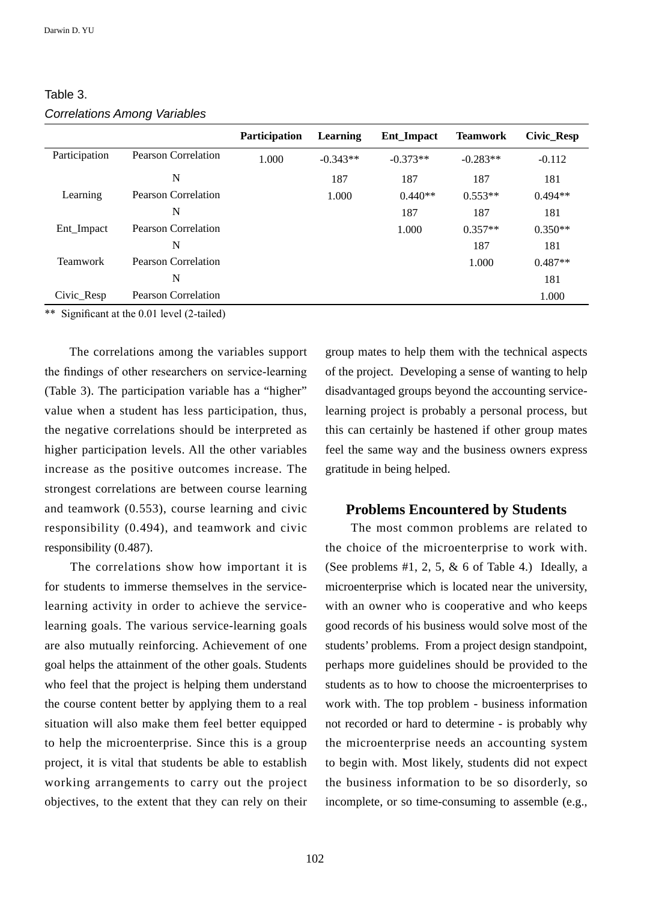|               |                     | <b>Participation</b> | Learning   | Ent_Impact | <b>Teamwork</b> | Civic_Resp |
|---------------|---------------------|----------------------|------------|------------|-----------------|------------|
| Participation | Pearson Correlation | 1.000                | $-0.343**$ | $-0.373**$ | $-0.283**$      | $-0.112$   |
|               | N                   |                      | 187        | 187        | 187             | 181        |
| Learning      | Pearson Correlation |                      | 1.000      | $0.440**$  | $0.553**$       | $0.494**$  |
|               | N                   |                      |            | 187        | 187             | 181        |
| Ent_Impact    | Pearson Correlation |                      |            | 1.000      | $0.357**$       | $0.350**$  |
|               | N                   |                      |            |            | 187             | 181        |
| Teamwork      | Pearson Correlation |                      |            |            | 1.000           | $0.487**$  |
|               | N                   |                      |            |            |                 | 181        |
| Civic_Resp    | Pearson Correlation |                      |            |            |                 | 1.000      |

Table 3. *Correlations Among Variables*

\*\* Significant at the 0.01 level (2-tailed)

 The correlations among the variables support the findings of other researchers on service-learning (Table 3). The participation variable has a "higher" value when a student has less participation, thus, the negative correlations should be interpreted as higher participation levels. All the other variables increase as the positive outcomes increase. The strongest correlations are between course learning and teamwork (0.553), course learning and civic responsibility (0.494), and teamwork and civic responsibility (0.487).

 The correlations show how important it is for students to immerse themselves in the servicelearning activity in order to achieve the servicelearning goals. The various service-learning goals are also mutually reinforcing. Achievement of one goal helps the attainment of the other goals. Students who feel that the project is helping them understand the course content better by applying them to a real situation will also make them feel better equipped to help the microenterprise. Since this is a group project, it is vital that students be able to establish working arrangements to carry out the project objectives, to the extent that they can rely on their group mates to help them with the technical aspects of the project. Developing a sense of wanting to help disadvantaged groups beyond the accounting servicelearning project is probably a personal process, but this can certainly be hastened if other group mates feel the same way and the business owners express gratitude in being helped.

### **Problems Encountered by Students**

 The most common problems are related to the choice of the microenterprise to work with. (See problems  $#1, 2, 5, \& 6$  of Table 4.) Ideally, a microenterprise which is located near the university, with an owner who is cooperative and who keeps good records of his business would solve most of the students' problems. From a project design standpoint, perhaps more guidelines should be provided to the students as to how to choose the microenterprises to work with. The top problem - business information not recorded or hard to determine - is probably why the microenterprise needs an accounting system to begin with. Most likely, students did not expect the business information to be so disorderly, so incomplete, or so time-consuming to assemble (e.g.,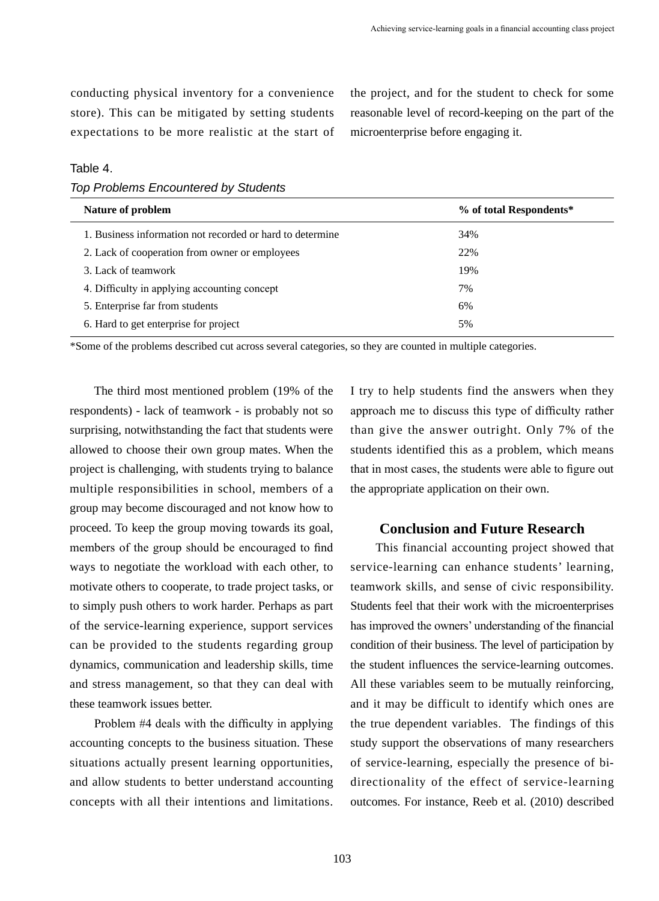conducting physical inventory for a convenience store). This can be mitigated by setting students expectations to be more realistic at the start of the project, and for the student to check for some reasonable level of record-keeping on the part of the microenterprise before engaging it.

## Table 4.

*Top Problems Encountered by Students*

| Nature of problem                                         | % of total Respondents* |  |  |  |
|-----------------------------------------------------------|-------------------------|--|--|--|
| 1. Business information not recorded or hard to determine | 34%                     |  |  |  |
| 2. Lack of cooperation from owner or employees            | 22%                     |  |  |  |
| 3. Lack of teamwork                                       | 19%                     |  |  |  |
| 4. Difficulty in applying accounting concept              | 7%                      |  |  |  |
| 5. Enterprise far from students                           | 6%                      |  |  |  |
| 6. Hard to get enterprise for project                     | 5%                      |  |  |  |

\*Some of the problems described cut across several categories, so they are counted in multiple categories.

 The third most mentioned problem (19% of the respondents) - lack of teamwork - is probably not so surprising, notwithstanding the fact that students were allowed to choose their own group mates. When the project is challenging, with students trying to balance multiple responsibilities in school, members of a group may become discouraged and not know how to proceed. To keep the group moving towards its goal, members of the group should be encouraged to find ways to negotiate the workload with each other, to motivate others to cooperate, to trade project tasks, or to simply push others to work harder. Perhaps as part of the service-learning experience, support services can be provided to the students regarding group dynamics, communication and leadership skills, time and stress management, so that they can deal with these teamwork issues better.

 Problem #4 deals with the difficulty in applying accounting concepts to the business situation. These situations actually present learning opportunities, and allow students to better understand accounting concepts with all their intentions and limitations.

I try to help students find the answers when they approach me to discuss this type of difficulty rather than give the answer outright. Only 7% of the students identified this as a problem, which means that in most cases, the students were able to figure out the appropriate application on their own.

## **Conclusion and Future Research**

 This financial accounting project showed that service-learning can enhance students' learning, teamwork skills, and sense of civic responsibility. Students feel that their work with the microenterprises has improved the owners' understanding of the financial condition of their business. The level of participation by the student influences the service-learning outcomes. All these variables seem to be mutually reinforcing, and it may be difficult to identify which ones are the true dependent variables. The findings of this study support the observations of many researchers of service-learning, especially the presence of bidirectionality of the effect of service-learning outcomes. For instance, Reeb et al. (2010) described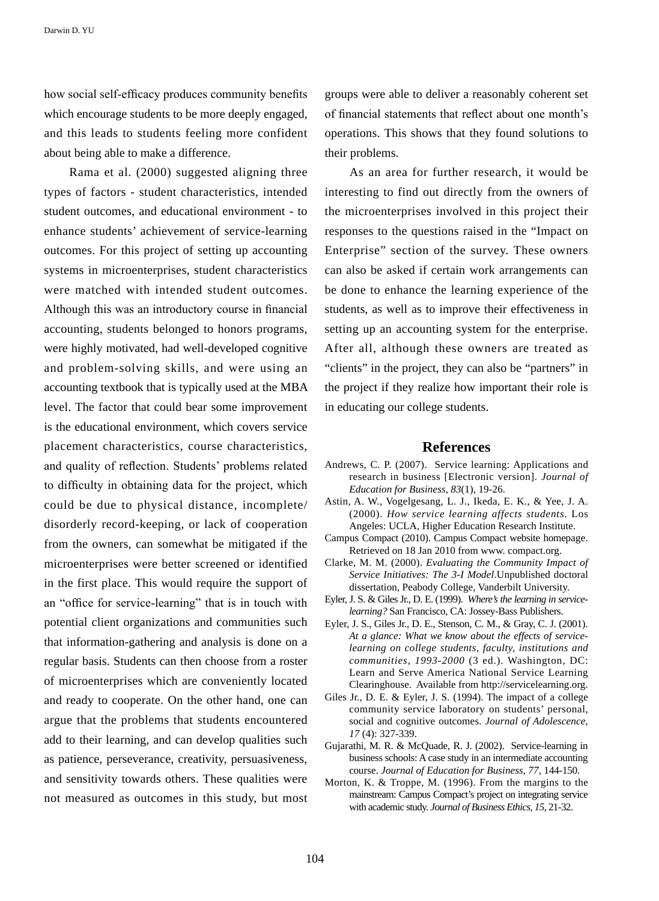Darwin D. YU

how social self-efficacy produces community benefits which encourage students to be more deeply engaged, and this leads to students feeling more confident about being able to make a difference.

 Rama et al. (2000) suggested aligning three types of factors - student characteristics, intended student outcomes, and educational environment - to enhance students' achievement of service-learning outcomes. For this project of setting up accounting systems in microenterprises, student characteristics were matched with intended student outcomes. Although this was an introductory course in financial accounting, students belonged to honors programs, were highly motivated, had well-developed cognitive and problem-solving skills, and were using an accounting textbook that is typically used at the MBA level. The factor that could bear some improvement is the educational environment, which covers service placement characteristics, course characteristics, and quality of reflection. Students' problems related to difficulty in obtaining data for the project, which could be due to physical distance, incomplete/ disorderly record-keeping, or lack of cooperation from the owners, can somewhat be mitigated if the microenterprises were better screened or identified in the first place. This would require the support of an "office for service-learning" that is in touch with potential client organizations and communities such that information-gathering and analysis is done on a regular basis. Students can then choose from a roster of microenterprises which are conveniently located and ready to cooperate. On the other hand, one can argue that the problems that students encountered add to their learning, and can develop qualities such as patience, perseverance, creativity, persuasiveness, and sensitivity towards others. These qualities were not measured as outcomes in this study, but most groups were able to deliver a reasonably coherent set of financial statements that reflect about one month's operations. This shows that they found solutions to their problems.

 As an area for further research, it would be interesting to find out directly from the owners of the microenterprises involved in this project their responses to the questions raised in the "Impact on Enterprise" section of the survey. These owners can also be asked if certain work arrangements can be done to enhance the learning experience of the students, as well as to improve their effectiveness in setting up an accounting system for the enterprise. After all, although these owners are treated as "clients" in the project, they can also be "partners" in the project if they realize how important their role is in educating our college students.

#### **References**

- Andrews, C. P. (2007). Service learning: Applications and research in business [Electronic version]. *Journal of Education for Business*, *83*(1), 19-26.
- Astin, A. W., Vogelgesang, L. J., Ikeda, E. K., & Yee, J. A. (2000). *How service learning affects students*. Los Angeles: UCLA, Higher Education Research Institute.
- Campus Compact (2010). Campus Compact website homepage. Retrieved on 18 Jan 2010 from www. compact.org.
- Clarke, M. M. (2000). *Evaluating the Community Impact of Service Initiatives: The 3-I Model*.Unpublished doctoral dissertation, Peabody College, Vanderbilt University.
- Eyler, J. S. & Giles Jr., D. E. (1999). *Where's the learning in servicelearning?* San Francisco, CA: Jossey-Bass Publishers.
- Eyler, J. S., Giles Jr., D. E., Stenson, C. M., & Gray, C. J. (2001). *At a glance: What we know about the effects of servicelearning on college students, faculty, institutions and communities, 1993-2000* (3 ed.). Washington, DC: Learn and Serve America National Service Learning Clearinghouse. Available from http://servicelearning.org.
- Giles Jr., D. E. & Eyler, J. S. (1994). The impact of a college community service laboratory on students' personal, social and cognitive outcomes. *Journal of Adolescence*, *17* (4): 327-339.
- Gujarathi, M. R. & McQuade, R. J. (2002). Service-learning in business schools: A case study in an intermediate accounting course. *Journal of Education for Business*, *77*, 144-150.
- Morton, K. & Troppe, M. (1996). From the margins to the mainstream: Campus Compact's project on integrating service with academic study. *Journal of Business Ethics*, *15*, 21-32.